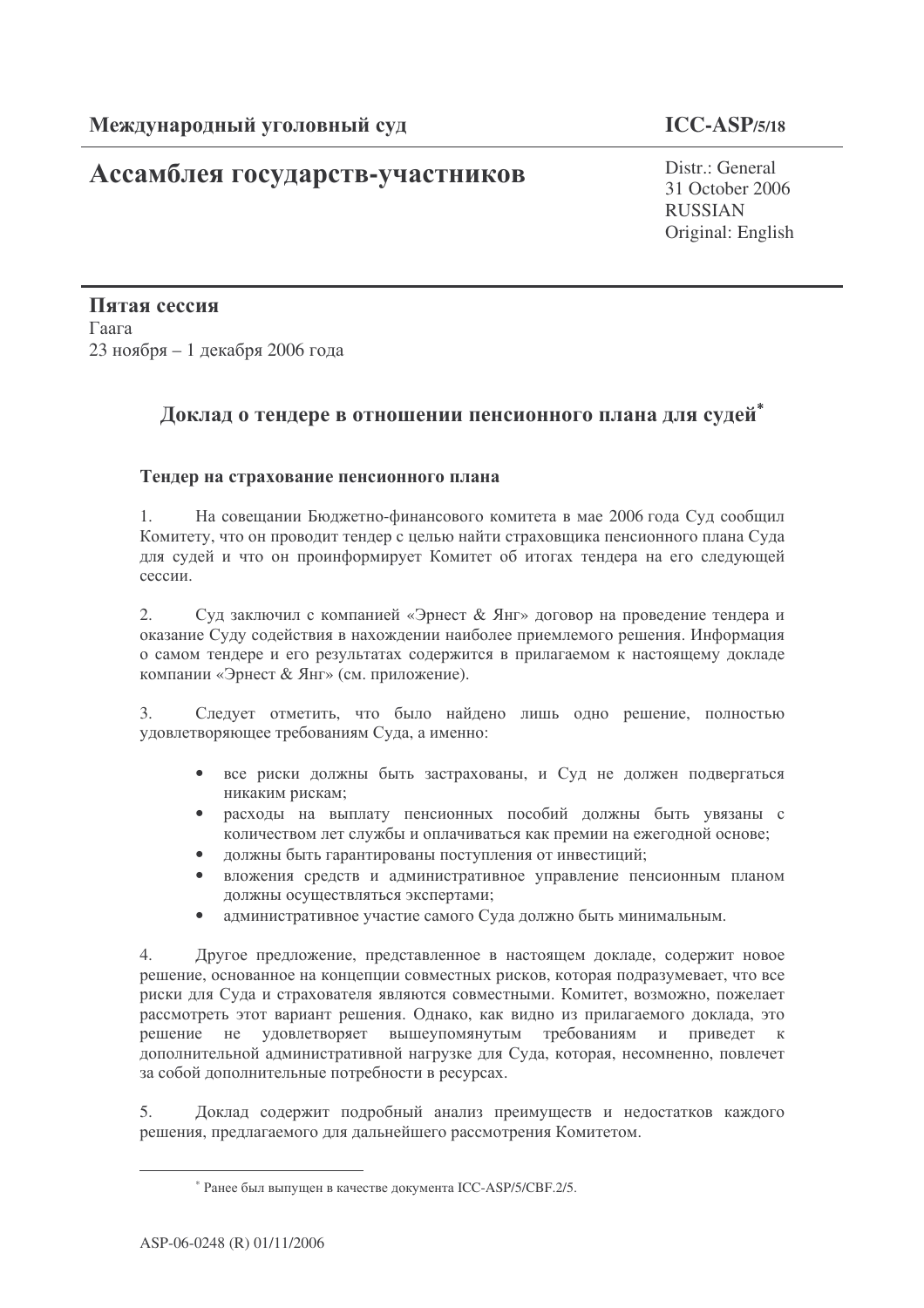# Ассамблея государств-участников

Distr.: General 31 October 2006 **RUSSIAN** Original: English

Пятая сессия Гаага 23 ноября - 1 декабря 2006 года

## Доклад о тендере в отношении пенсионного плана для судей\*

### Тендер на страхование пенсионного плана

 $1.$ На совещании Бюджетно-финансового комитета в мае 2006 года Суд сообщил Комитету, что он проводит тендер с целью найти страховшика пенсионного плана Суда для судей и что он проинформирует Комитет об итогах тендера на его следующей сессии.

Суд заключил с компанией «Эрнест & Янг» договор на проведение тендера и 2. оказание Суду содействия в нахождении наиболее приемлемого решения. Информация о самом тендере и его результатах содержится в прилагаемом к настоящему докладе компании «Эрнест & Янг» (см. приложение).

 $\overline{3}$ . Следует отметить, что было найдено лишь одно решение, полностью удовлетворяющее требованиям Суда, а именно:

- все риски должны быть застрахованы, и Суд не должен подвергаться  $\bullet$ никаким рискам:
- расходы на выплату пенсионных пособий должны быть увязаны с количеством лет службы и оплачиваться как премии на ежегодной основе;
- должны быть гарантированы поступления от инвестиций;
- вложения средств и административное управление пенсионным планом должны осуществляться экспертами;
- административное участие самого Суда должно быть минимальным.

 $\overline{4}$ . Другое предложение, представленное в настоящем докладе, содержит новое решение, основанное на концепции совместных рисков, которая подразумевает, что все риски для Суда и страхователя являются совместными. Комитет, возможно, пожелает рассмотреть этот вариант решения. Однако, как видно из прилагаемого доклада, это решение не удовлетворяет вышеупомянутым требованиям и приведет к дополнительной административной нагрузке для Суда, которая, несомненно, повлечет за собой дополнительные потребности в ресурсах.

5. Доклад содержит подробный анализ преимуществ и недостатков каждого решения, предлагаемого для дальнейшего рассмотрения Комитетом.

<sup>\*</sup> Ранее был выпущен в качестве документа ICC-ASP/5/CBF.2/5.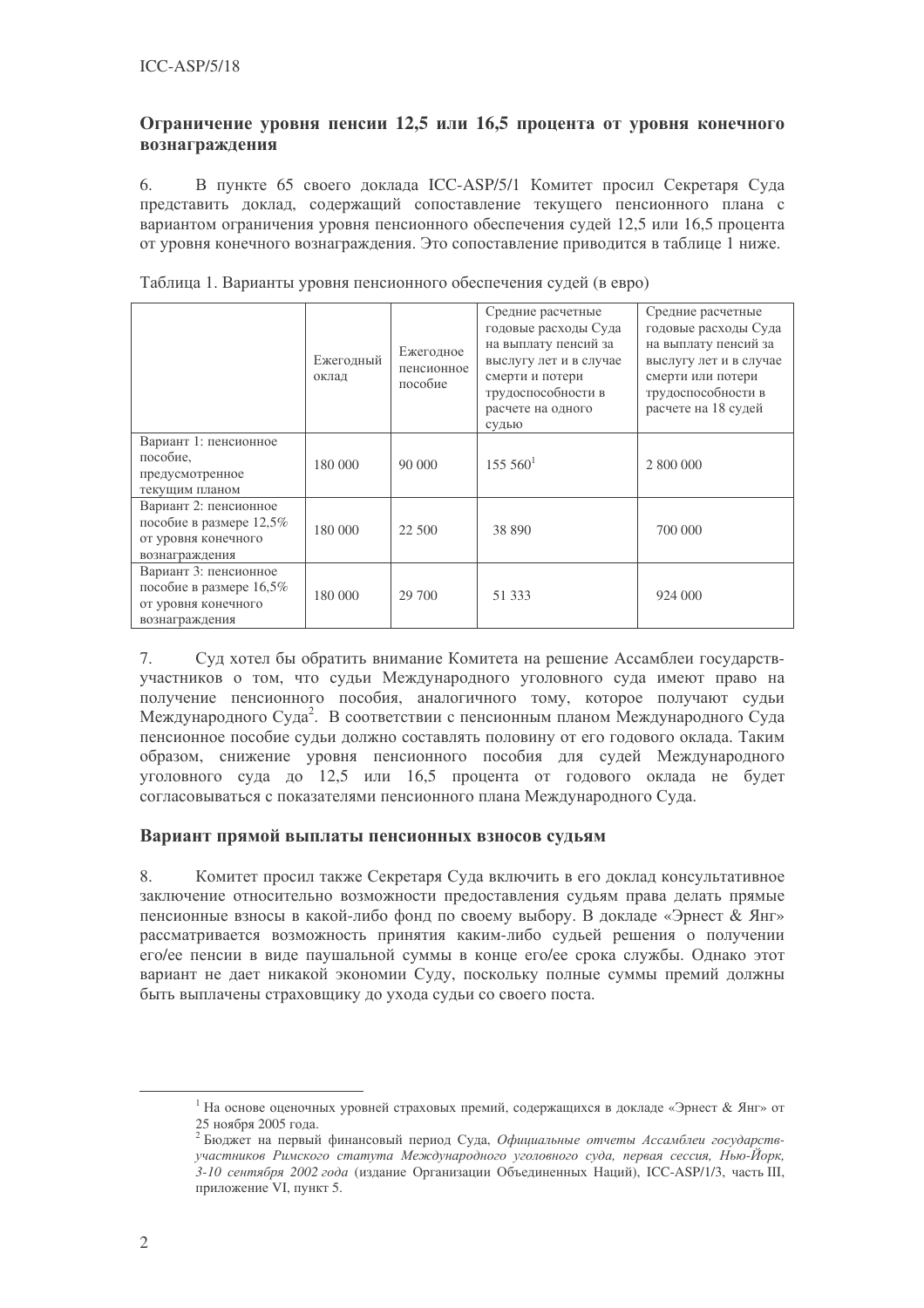### Ограничение уровня пенсии 12,5 или 16,5 процента от уровня конечного вознаграждения

В пункте 65 своего доклада ICC-ASP/5/1 Комитет просил Секретаря Суда 6. представить доклад, содержащий сопоставление текущего пенсионного плана с вариантом ограничения уровня пенсионного обеспечения судей 12,5 или 16,5 процента от уровня конечного вознаграждения. Это сопоставление приводится в таблице 1 ниже.

|                                                                                           | Ежегодный<br>оклад | Ежегодное<br>пенсионное<br>пособие | Средние расчетные<br>годовые расходы Суда<br>на выплату пенсий за<br>выслугу лет и в случае<br>смерти и потери<br>трудоспособности в<br>расчете на одного<br>судью | Средние расчетные<br>годовые расходы Суда<br>на выплату пенсий за<br>выслугу лет и в случае<br>смерти или потери<br>трудоспособности в<br>расчете на 18 судей |
|-------------------------------------------------------------------------------------------|--------------------|------------------------------------|--------------------------------------------------------------------------------------------------------------------------------------------------------------------|---------------------------------------------------------------------------------------------------------------------------------------------------------------|
| Вариант 1: пенсионное<br>пособие.<br>предусмотренное<br>текущим планом                    | 180 000            | 90 000                             | 155 560 <sup>1</sup>                                                                                                                                               | 2 800 000                                                                                                                                                     |
| Вариант 2: пенсионное<br>пособие в размере 12,5%<br>от уровня конечного<br>вознаграждения | 180 000            | 22 500                             | 38 890                                                                                                                                                             | 700 000                                                                                                                                                       |
| Вариант 3: пенсионное<br>пособие в размере 16,5%<br>от уровня конечного<br>вознаграждения | 180 000            | 29 700                             | 51 333                                                                                                                                                             | 924 000                                                                                                                                                       |

Таблица 1. Варианты уровня пенсионного обеспечения судей (в евро)

7. Суд хотел бы обратить внимание Комитета на решение Ассамблеи государствучастников о том, что судьи Международного уголовного суда имеют право на получение пенсионного пособия, аналогичного тому, которое получают судьи Международного Суда<sup>2</sup>. В соответствии с пенсионным планом Международного Суда пенсионное пособие судьи должно составлять половину от его годового оклада. Таким образом, снижение уровня пенсионного пособия для судей Международного уголовного суда до 12,5 или 16,5 процента от годового оклада не будет согласовываться с показателями пенсионного плана Международного Суда.

### Вариант прямой выплаты пенсионных взносов судьям

8. Комитет просил также Секретаря Суда включить в его доклад консультативное заключение относительно возможности предоставления судьям права делать прямые пенсионные взносы в какой-либо фонд по своему выбору. В докладе «Эрнест & Янг» рассматривается возможность принятия каким-либо судьей решения о получении его/ее пенсии в виле паушальной суммы в конце его/ее срока службы. Однако этот вариант не дает никакой экономии Суду, поскольку полные суммы премий должны быть выплачены страховщику до ухода судьи со своего поста.

<sup>&</sup>lt;sup>1</sup> На основе оценочных уровней страховых премий, содержащихся в докладе «Эрнест & Янг» от 25 ноября 2005 года.<br><sup>2</sup> Бюджет на первый финансовый период Суда, *Официальные отчеты Ассамблеи государств*-

участников Римского статута Международного уголовного суда, первая сессия, Нью-Йорк, 3-10 сентября 2002 года (издание Организации Объединенных Наций), ICC-ASP/1/3, часть III, приложение VI, пункт 5.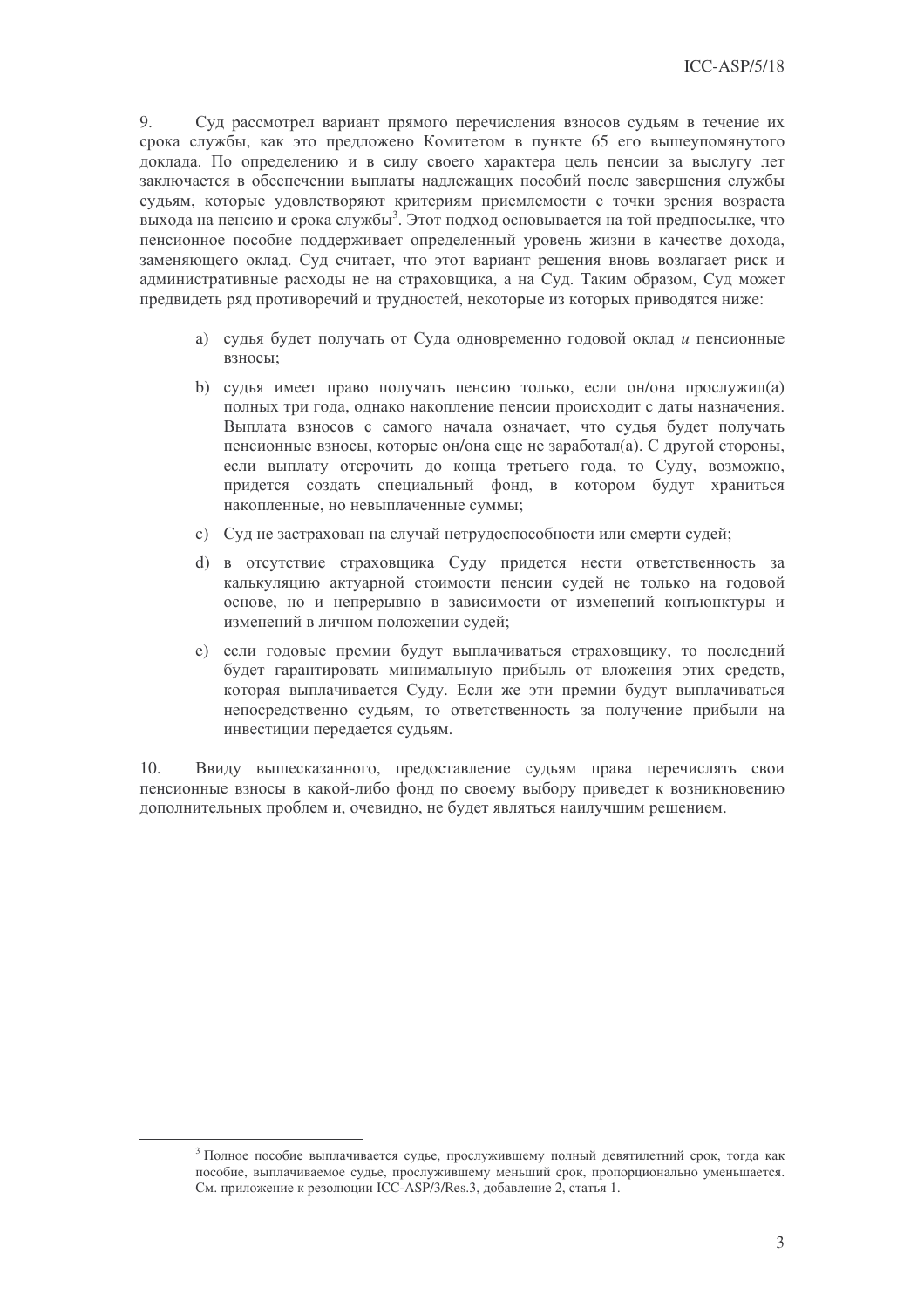9. Суд рассмотрел вариант прямого перечисления взносов судьям в течение их срока службы, как это предложено Комитетом в пункте 65 его вышеупомянутого доклада. По определению и в силу своего характера цель пенсии за выслугу лет заключается в обеспечении выплаты надлежащих пособий после завершения службы судьям, которые удовлетворяют критериям приемлемости с точки зрения возраста выхода на пенсию и срока службы<sup>3</sup>. Этот подход основывается на той предпосылке, что пенсионное пособие поддерживает определенный уровень жизни в качестве дохода, заменяющего оклад. Суд считает, что этот вариант решения вновь возлагает риск и административные расходы не на страховщика, а на Суд. Таким образом, Суд может предвидеть ряд противоречий и трудностей, некоторые из которых приводятся ниже:

- а) судья будет получать от Суда одновременно годовой оклад и пенсионные взносы:
- b) судья имеет право получать пенсию только, если он/она прослужил(а) полных три года, однако накопление пенсии происходит с даты назначения. Выплата взносов с самого начала означает, что судья будет получать пенсионные взносы, которые он/она еще не заработал(а). С другой стороны, если выплату отсрочить до конца третьего года, то Суду, возможно, придется создать специальный фонд, в котором будут храниться накопленные, но невыплаченные суммы;
- с) Суд не застрахован на случай нетрудоспособности или смерти судей;
- d) в отсутствие страховщика Суду придется нести ответственность за калькуляцию актуарной стоимости пенсии судей не только на годовой основе, но и непрерывно в зависимости от изменений конъюнктуры и изменений в личном положении судей:
- е) если годовые премии будут выплачиваться страховщику, то последний будет гарантировать минимальную прибыль от вложения этих средств, которая выплачивается Суду. Если же эти премии будут выплачиваться непосредственно судьям, то ответственность за получение прибыли на инвестиции передается судьям.

 $10<sub>1</sub>$ Ввиду вышесказанного, предоставление судьям права перечислять свои пенсионные взносы в какой-либо фонд по своему выбору приведет к возникновению дополнительных проблем и, очевидно, не будет являться наилучшим решением.

<sup>&</sup>lt;sup>3</sup> Полное пособие выплачивается судье, прослужившему полный девятилетний срок, тогда как пособие, выплачиваемое судье, прослужившему меньший срок, пропорционально уменьшается. См. приложение к резолюции ICC-ASP/3/Res.3, добавление 2, статья 1.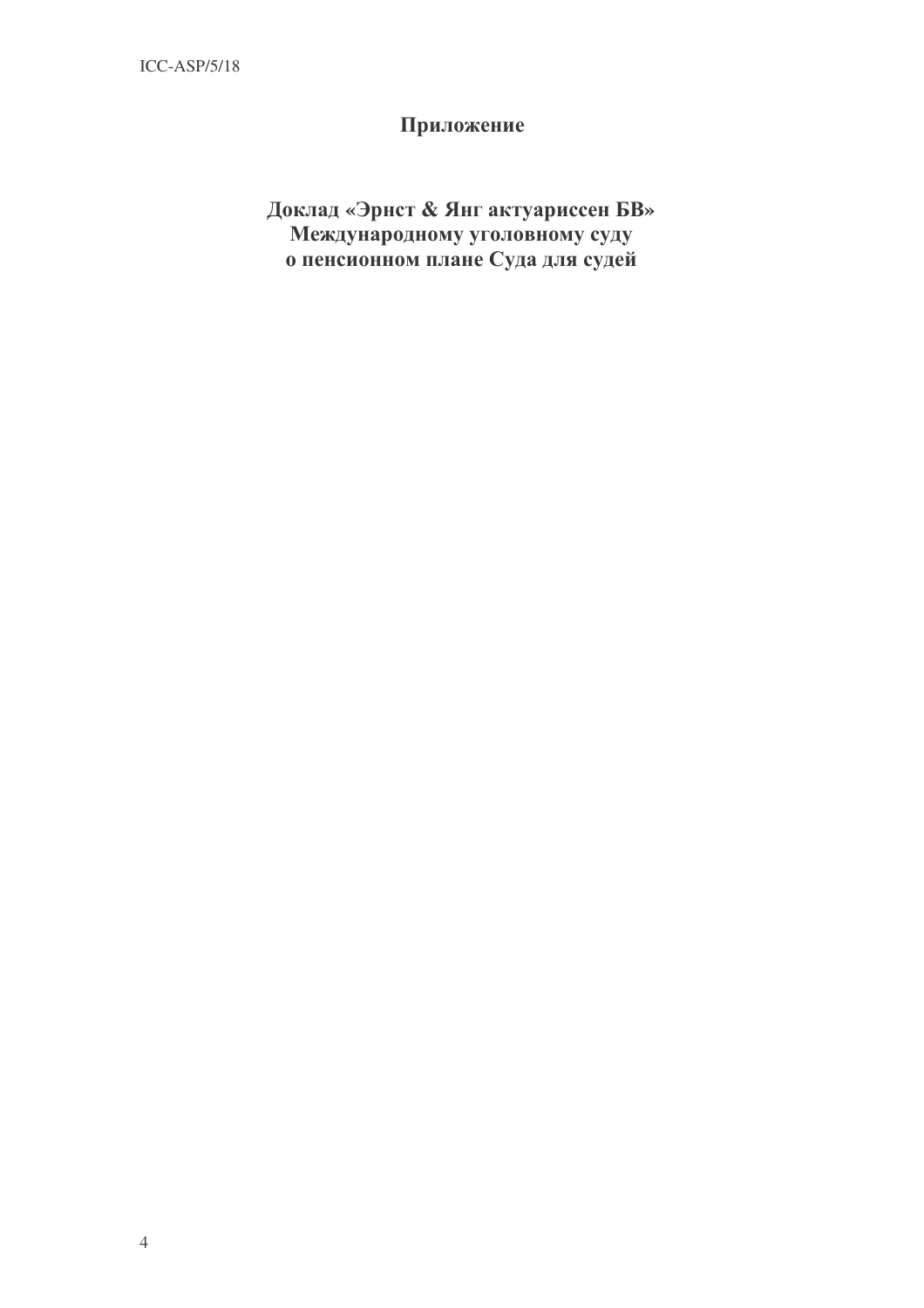# Приложение

# Доклад «Эрнст & Янг актуариссен БВ» Международному уголовному суду о пенсионном плане Суда для судей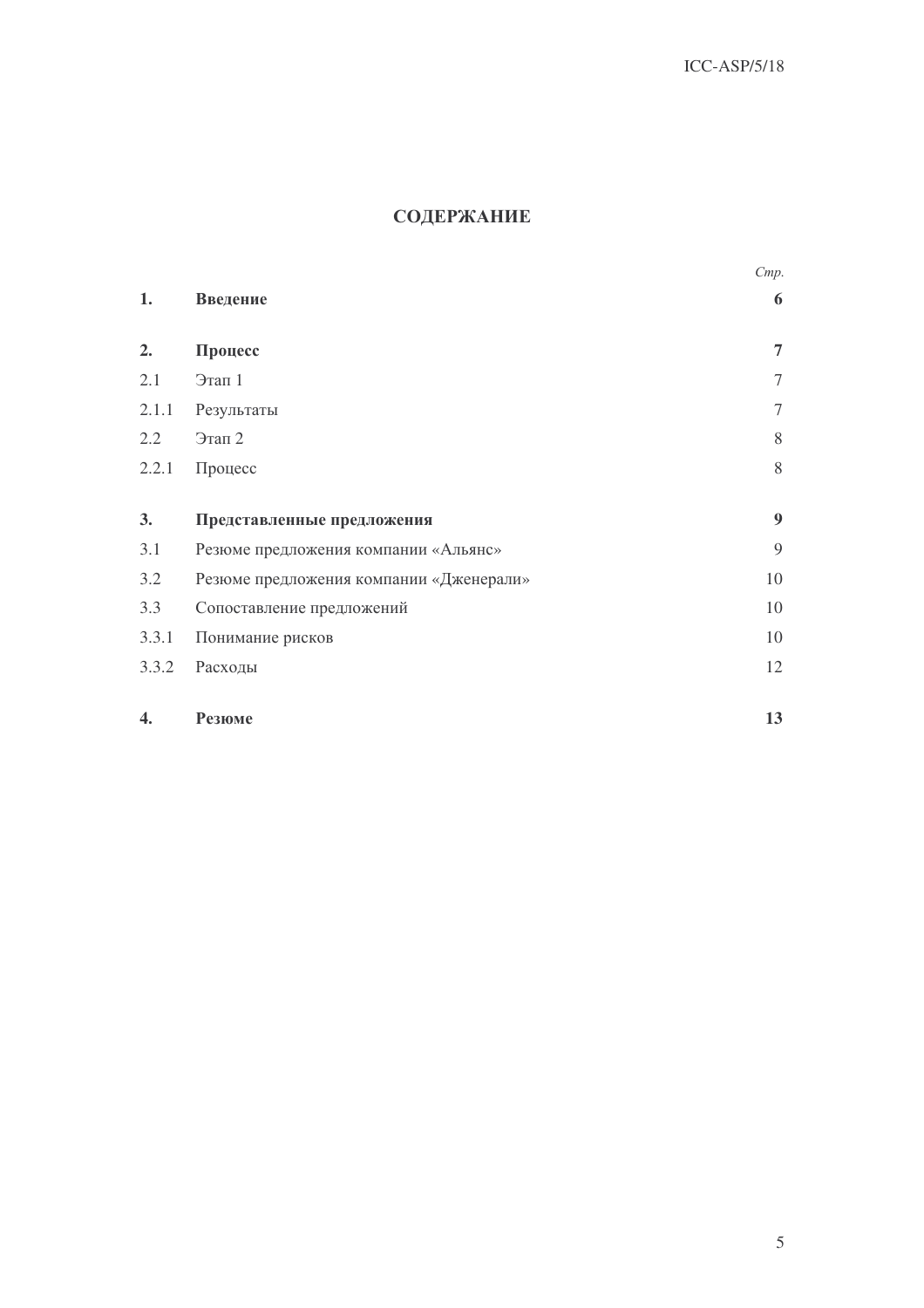# СОДЕРЖАНИЕ

|       |                                         | Cmp.           |
|-------|-----------------------------------------|----------------|
| 1.    | Введение                                | 6              |
| 2.    | Процесс                                 | $\overline{7}$ |
| 2.1   | Этап 1                                  | $\overline{7}$ |
| 2.1.1 | Результаты                              | $\tau$         |
| 2.2   | Этап 2                                  | 8              |
| 2.2.1 | Процесс                                 | 8              |
| 3.    | Представленные предложения              | 9              |
| 3.1   | Резюме предложения компании «Альянс»    | 9              |
| 3.2   | Резюме предложения компании «Дженерали» | 10             |
| 3.3   | Сопоставление предложений               | 10             |
| 3.3.1 | Понимание рисков                        | 10             |
| 3.3.2 | Расходы                                 | 12             |
| 4.    | Резюме                                  | 13             |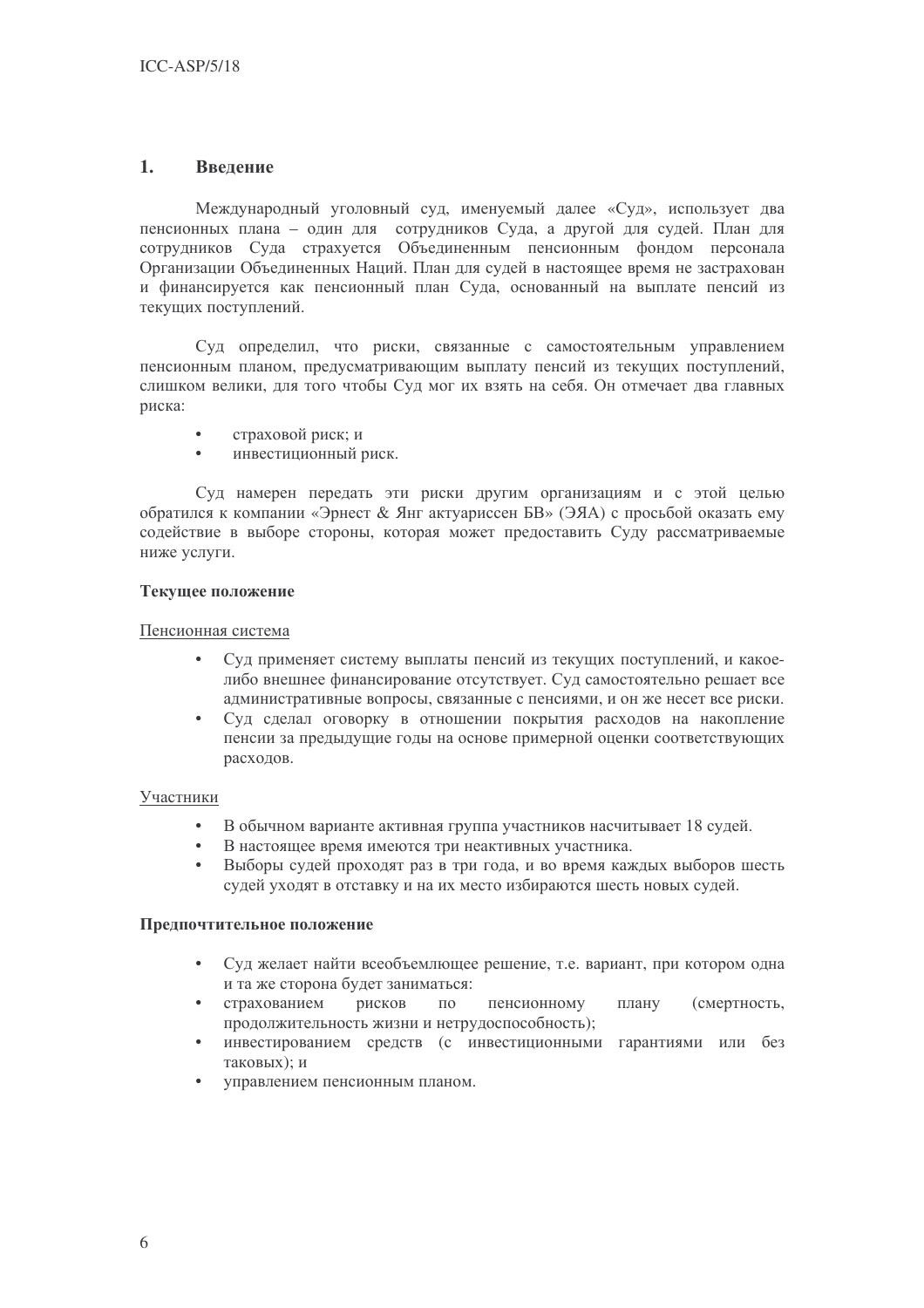#### $1<sub>1</sub>$ Ввеление

Международный уголовный суд, именуемый далее «Суд», использует два пенсионных плана - один для сотрудников Суда, а другой для судей. План для сотрудников Суда страхуется Объединенным пенсионным фондом персонала Организации Объединенных Наций. План для судей в настоящее время не застрахован и финансируется как пенсионный план Сула, основанный на выплате пенсий из текущих поступлений.

Суд определил, что риски, связанные с самостоятельным управлением пенсионным планом, предусматривающим выплату пенсий из текущих поступлений, слишком велики, для того чтобы Суд мог их взять на себя. Он отмечает два главных риска:

- страховой риск; и
- инвестиционный риск.

Суд намерен передать эти риски другим организациям и с этой целью обратился к компании «Эрнест & Янг актуариссен БВ» (ЭЯА) с просьбой оказать ему содействие в выборе стороны, которая может предоставить Суду рассматриваемые ниже услуги.

### Текущее положение

### Пенсионная система

- Суд применяет систему выплаты пенсий из текущих поступлений, и какоелибо внешнее финансирование отсутствует. Суд самостоятельно решает все административные вопросы, связанные с пенсиями, и он же несет все риски.
- Суд сделал оговорку в отношении покрытия расходов на накопление пенсии за предыдущие годы на основе примерной оценки соответствующих расходов.

### Участники

- В обычном варианте активная группа участников насчитывает 18 судей.
- В настоящее время имеются три неактивных участника.
- Выборы судей проходят раз в три года, и во время каждых выборов шесть судей уходят в отставку и на их место избираются шесть новых судей.

### Предпочтительное положение

- Суд желает найти всеобъемлющее решение, т.е. вариант, при котором одна и та же сторона будет заниматься:
- рисков пенсионному плану страхованием  $\Pi$ <sup>O</sup> (смертность, продолжительность жизни и нетрудоспособность);
- инвестированием средств (с инвестиционными гарантиями или без таковых); и
- управлением пенсионным планом.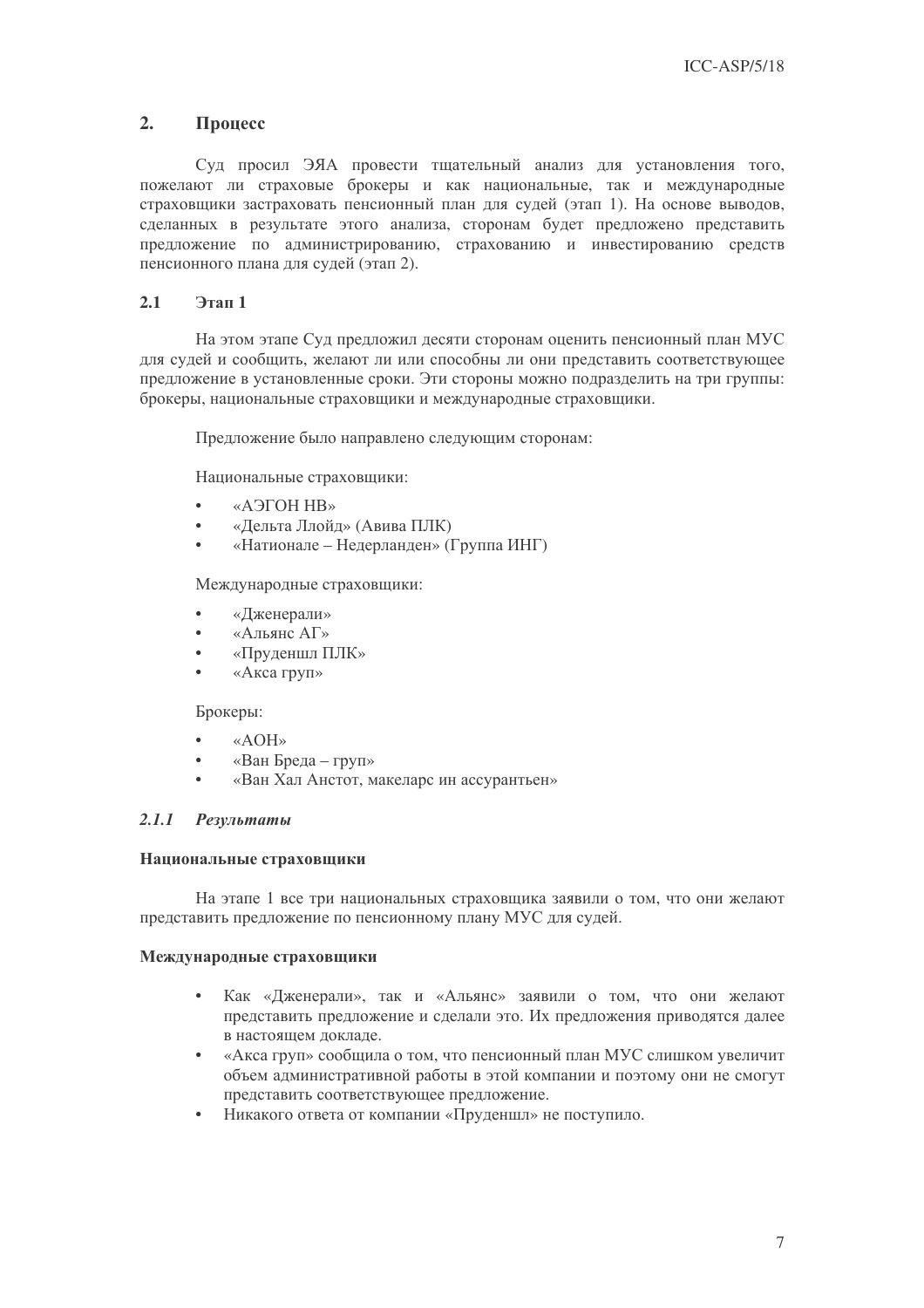#### $2.$ Процесс

Суд просил ЭЯА провести тщательный анализ для установления того, пожелают ли страховые брокеры и как национальные, так и международные страховшики застраховать пенсионный план для судей (этап 1). На основе выводов, сделанных в результате этого анализа, сторонам будет предложено представить предложение по администрированию, страхованию и инвестированию средств пенсионного плана для судей (этап 2).

#### $2.1$ Этап 1

На этом этапе Суд предложил десяти сторонам оценить пенсионный план МУС для судей и сообщить, желают ли или способны ли они представить соответствующее предложение в установленные сроки. Эти стороны можно подразделить на три группы: брокеры, национальные страховщики и международные страховщики.

Предложение было направлено следующим сторонам:

Национальные страховщики:

- «АЭГОН НВ»
- «Дельта Ллойд» (Авива ПЛК)
- «Натионале Недерланден» (Группа ИНГ)

Международные страховщики:

- «Дженерали»
- «Альянс АГ»
- $\overline{a}$ «Пруденшл ПЛК»
- «Акса груп»

Брокеры:

- «AOH»
- «Ван Бреда груп»
- «Ван Хал Анстот, макеларс ин ассурантьен»

#### $2.1.1$ Результаты

### Национальные страховщики

На этапе 1 все три национальных страховщика заявили о том, что они желают представить предложение по пенсионному плану МУС для судей.

### Международные страховщики

- Как «Дженерали», так и «Альянс» заявили о том, что они желают представить предложение и сделали это. Их предложения приводятся далее в настоящем докладе.
- «Акса груп» сообщила о том, что пенсионный план МУС слишком увеличит объем административной работы в этой компании и поэтому они не смогут представить соответствующее предложение.
- Никакого ответа от компании «Пруденшл» не поступило.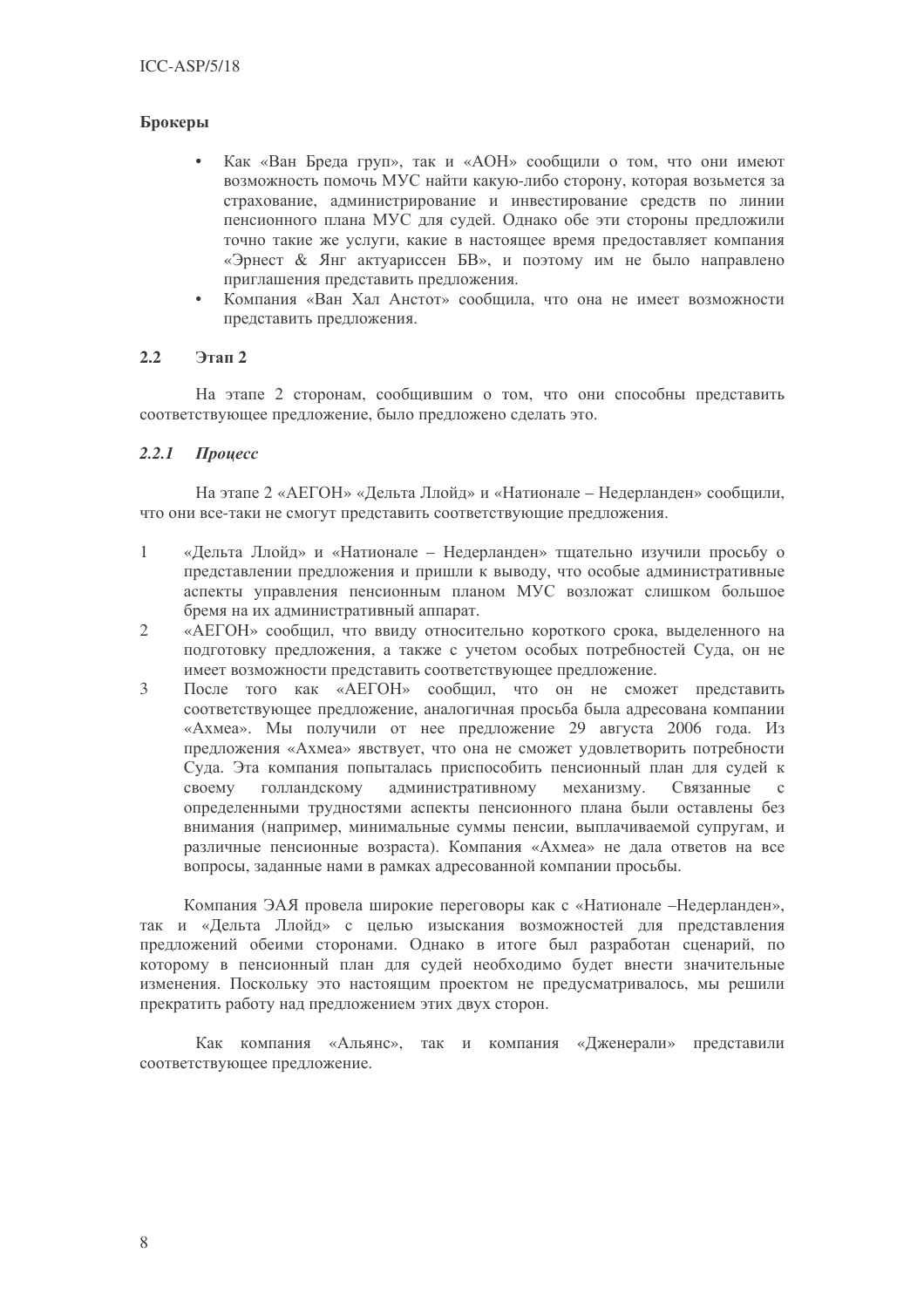### Брокеры

- Как «Ван Бреда груп», так и «АОН» сообщили о том, что они имеют возможность помочь МУС найти какую-либо сторону, которая возьмется за страхование, администрирование и инвестирование средств по линии пенсионного плана МУС для судей. Однако обе эти стороны предложили точно такие же услуги, какие в настоящее время предоставляет компания «Эрнест & Янг актуариссен БВ», и поэтому им не было направлено приглашения представить предложения.
- Компания «Ван Хал Анстот» сообщила, что она не имеет возможности представить предложения.

#### $2.2$ Этап 2

На этапе 2 сторонам, сообщившим о том, что они способны представить соответствующее предложение, было предложено сделать это.

#### $2.2.1$  $$

На этапе 2 «АЕГОН» «Дельта Ллойд» и «Натионале – Недерланден» сообщили, что они все-таки не смогут представить соответствующие предложения.

- $\mathbf{1}$ «Дельта Ллойд» и «Натионале - Недерланден» тщательно изучили просьбу о представлении предложения и пришли к выводу, что особые алминистративные аспекты управления пенсионным планом МУС возложат слишком большое бремя на их административный аппарат.
- $\overline{2}$ «АЕГОН» сообщил, что ввиду относительно короткого срока, выделенного на подготовку предложения, а также с учетом особых потребностей Суда, он не имеет возможности представить соответствующее предложение.
- $\mathfrak{Z}$ После того как «АЕГОН» сообщил, что он не сможет представить соответствующее предложение, аналогичная просьба была адресована компании «Ахмеа». Мы получили от нее предложение 29 августа 2006 года. Из предложения «Ахмеа» явствует, что она не сможет удовлетворить потребности Суда. Эта компания попыталась приспособить пенсионный план для судей к своему голландскому административному механизму. Связанные  $\mathcal{C}$ определенными трудностями аспекты пенсионного плана были оставлены без внимания (например, минимальные суммы пенсии, выплачиваемой супругам, и различные пенсионные возраста). Компания «Ахмеа» не дала ответов на все вопросы, заданные нами в рамках адресованной компании просьбы.

Компания ЭАЯ провела широкие переговоры как с «Натионале -Недерланден», так и «Дельта Ллойд» с целью изыскания возможностей для представления предложений обеими сторонами. Однако в итоге был разработан сценарий, по которому в пенсионный план для судей необходимо будет внести значительные изменения. Поскольку это настоящим проектом не предусматривалось, мы решили прекратить работу над предложением этих двух сторон.

Как компания «Альянс», так и компания «Дженерали» представили соответствующее предложение.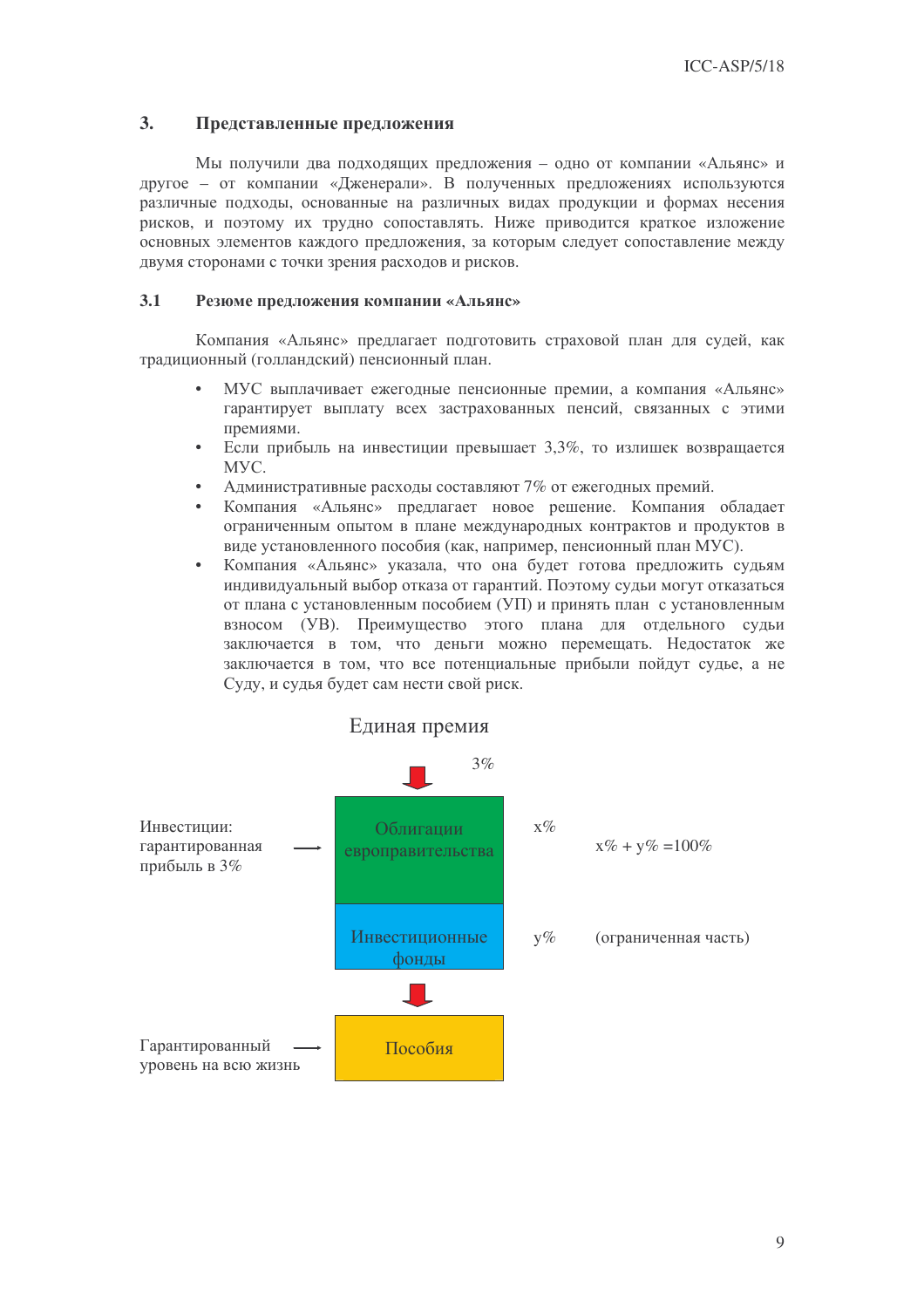#### $3<sub>1</sub>$ Представленные предложения

Мы получили два подходящих предложения - одно от компании «Альянс» и другое - от компании «Дженерали». В полученных предложениях используются различные подходы, основанные на различных видах продукции и формах несения рисков, и поэтому их трудно сопоставлять. Ниже приводится краткое изложение основных элементов каждого предложения, за которым следует сопоставление между двумя сторонами с точки зрения расходов и рисков.

#### $3.1$ Резюме предложения компании «Альянс»

Компания «Альянс» предлагает подготовить страховой план для судей, как традиционный (голландский) пенсионный план.

- МУС выплачивает ежеголные пенсионные премии, а компания «Альянс» гарантирует выплату всех застрахованных пенсий, связанных с этими премиями.
- Если прибыль на инвестиции превышает 3,3%, то излишек возвращается MYC.
- Административные расходы составляют 7% от ежегодных премий.
- Компания «Альянс» предлагает новое решение. Компания обладает ограниченным опытом в плане международных контрактов и продуктов в виде установленного пособия (как, например, пенсионный план МУС).
- Компания «Альянс» указала, что она будет готова предложить судьям индивидуальный выбор отказа от гарантий. Поэтому судьи могут отказаться от плана с установленным пособием (УП) и принять план с установленным взносом (УВ). Преимущество этого плана для отдельного судьи заключается в том, что деньги можно перемещать. Недостаток же заключается в том, что все потенциальные прибыли пойдут судье, а не Суду, и судья будет сам нести свой риск.

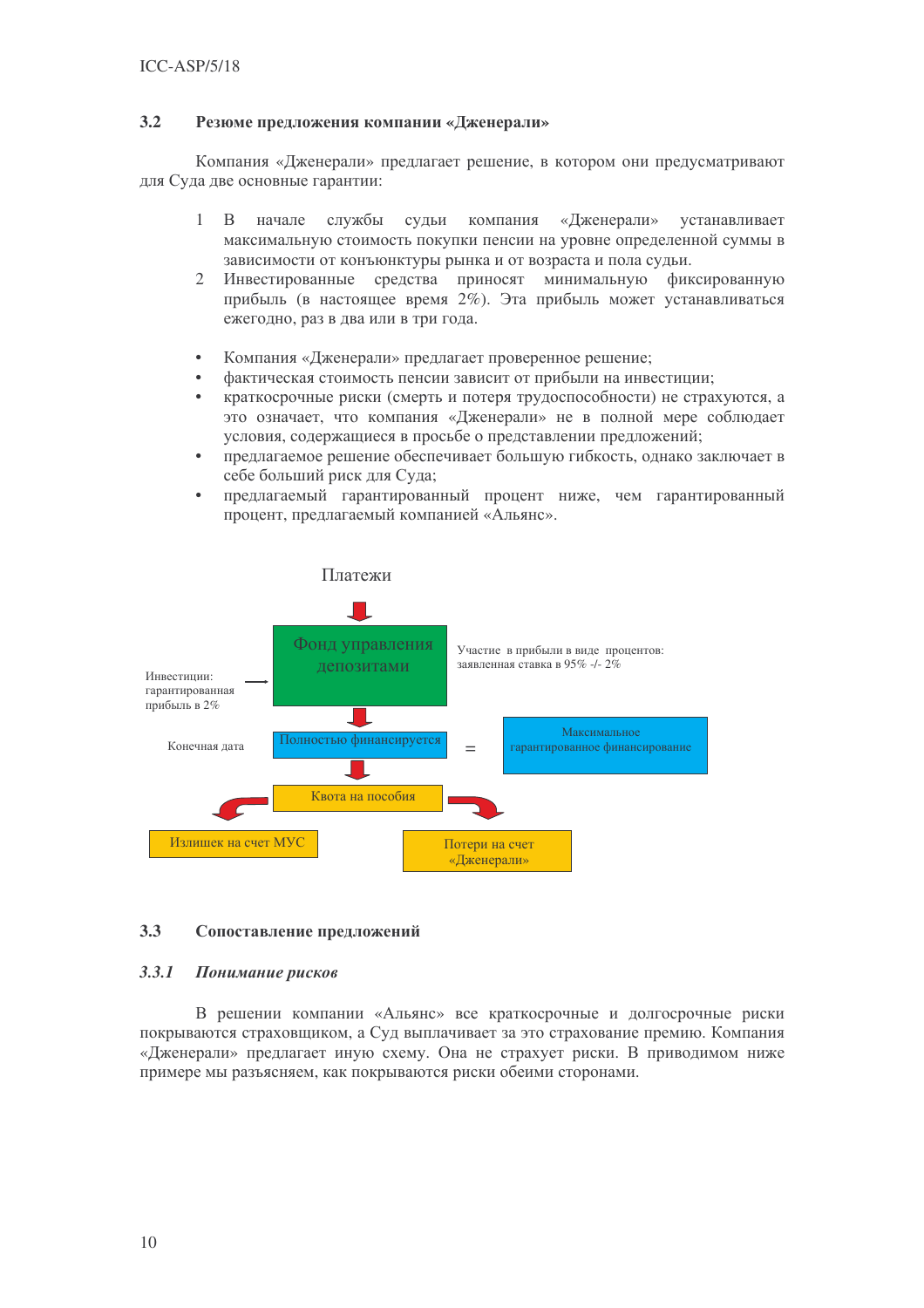#### **3.2** (зюме предложения компании «Дженерали»

Компания «Дженерали» предлагает решение, в котором они предусматривают для Суда две основные гарантии:

- $1 B$ чале службы судьи компания ния «Дженера ли» устанавливает максимальную стоимость покупки пенсии на уровне определенной суммы в зависимости от конъюнктуры рынка и от возраста и пола судьи.
- 2 Инвестированные средства приносят минимальную фиксированную прибыль (в настоящее время 2%). Эта прибыль может устанавливаться ежегодно, раз в два или в три года.
- Компания «Дженерали» предлагает проверенное решение;
- фактическая стоимость пенсии зависит от прибыли на инвестиции;
- краткосрочные риски (смерть и потеря трудоспособности) не страхуются, а это означает, что компания «Дженерали» не в полной мере соблюдает условия, содержащиеся в просьбе о представлении предложений;
- предлагаемое решение обеспечивает большую гибкость, однако заключает в себе больший риск для Суда;
- предлагаемый гарантированный процент ниже, чем гарантированный процент, предлагаемый компанией «Альянс».



### 3.3 Сопоставление предложений

#### *3.3.1* онимание рисков

В решении компании «Альянс» все краткосрочные и долгосрочные риски покрываются страховщиком, а Суд выплачивает за это страхование премию. Компания «Дженерали» предлагает иную схему. Она не страхует риски. В приводимом ниже примере мы разъясняем, как покрываются риски обеими сторонами.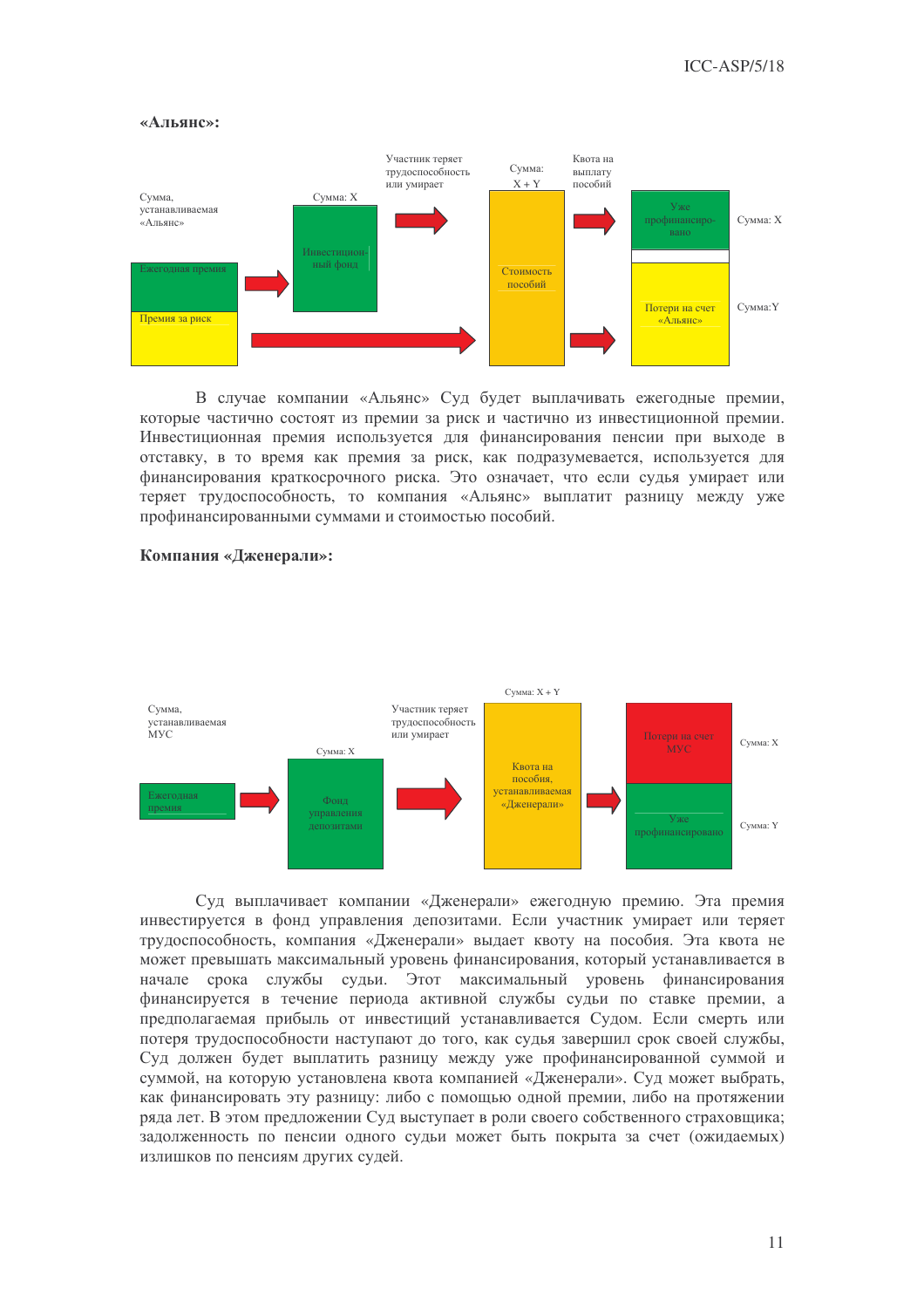### «Альянс»:



В случае компании «Альянс» Суд будет выплачивать ежегодные премии, которые частично состоят из премии за риск и частично из инвестиционной премии. Инвестиционная премия используется для финансирования пенсии при выходе в отставку, в то время как премия за риск, как подразумевается, используется для финансирования краткосрочного риска. Это означает, что если судья умирает или теряет трудоспособность, то компания «Альянс» выплатит разницу между уже профинансированными суммами и стоимостью пособий.



### Компания «Дженерали»:

Суд выплачивает компании «Дженерали» ежегодную премию. Эта премия инвестируется в фонд управления депозитами. Если участник умирает или теряет трудоспособность, компания «Дженерали» выдает квоту на пособия. Эта квота не может превышать максимальный уровень финансирования, который устанавливается в начале срока службы судьи. Этот максимальный уровень финансирования финансируется в течение периода активной службы судьи по ставке премии, а предполагаемая прибыль от инвестиций устанавливается Судом. Если смерть или потеря трудоспособности наступают до того, как судья завершил срок своей службы, Суд должен будет выплатить разницу между уже профинансированной суммой и суммой, на которую установлена квота компанией «Дженерали». Суд может выбрать, как финансировать эту разницу: либо с помощью одной премии, либо на протяжении ряда лет. В этом предложении Суд выступает в роли своего собственного страховщика; задолженность по пенсии одного судьи может быть покрыта за счет (ожидаемых) излишков по пенсиям других судей.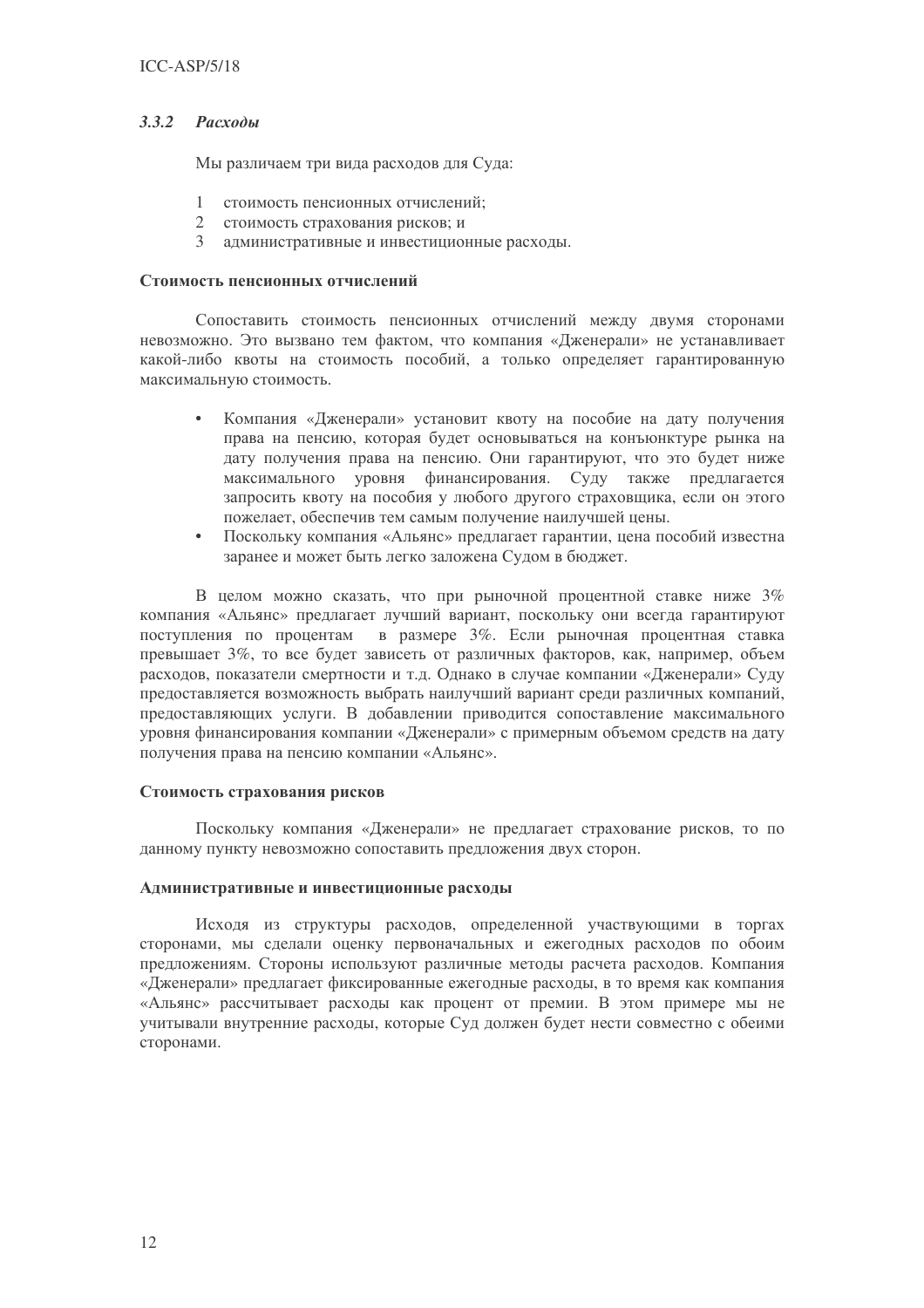### 3.3.2 Расходы

Мы различаем три вида расходов для Суда:

- стоимость пенсионных отчислений;  $\mathbf{1}$
- 2 стоимость страхования рисков; и
- 3 алминистративные и инвестиционные расходы.

### Стоимость пенсионных отчислений

Сопоставить стоимость пенсионных отчислений между двумя сторонами невозможно. Это вызвано тем фактом, что компания «Дженерали» не устанавливает какой-либо квоты на стоимость пособий, а только определяет гарантированную максимальную стоимость.

- Компания «Дженерали» установит квоту на пособие на дату получения права на пенсию, которая будет основываться на конъюнктуре рынка на дату получения права на пенсию. Они гарантируют, что это будет ниже максимального уровня финансирования. Суду также предлагается запросить квоту на пособия у любого другого страховщика, если он этого пожелает, обеспечив тем самым получение наилучшей цены.
- Поскольку компания «Альянс» предлагает гарантии, цена пособий известна заранее и может быть легко заложена Судом в бюджет.

В целом можно сказать, что при рыночной процентной ставке ниже 3% компания «Альянс» предлагает лучший вариант, поскольку они всегда гарантируют поступления по процентам в размере 3%. Если рыночная процентная ставка превышает 3%, то все будет зависеть от различных факторов, как, например, объем расходов, показатели смертности и т.д. Однако в случае компании «Дженерали» Суду предоставляется возможность выбрать наилучший вариант среди различных компаний, предоставляющих услуги. В добавлении приводится сопоставление максимального уровня финансирования компании «Дженерали» с примерным объемом средств на дату получения права на пенсию компании «Альянс».

### Стоимость страхования рисков

Поскольку компания «Дженерали» не предлагает страхование рисков, то по данному пункту невозможно сопоставить предложения двух сторон.

### Административные и инвестиционные расходы

Исходя из структуры расходов, определенной участвующими в торгах сторонами, мы сделали оценку первоначальных и ежегодных расходов по обоим предложениям. Стороны используют различные методы расчета расходов. Компания «Дженерали» предлагает фиксированные ежегодные расходы, в то время как компания «Альянс» рассчитывает расходы как процент от премии. В этом примере мы не учитывали внутренние расходы, которые Суд должен будет нести совместно с обеими сторонами.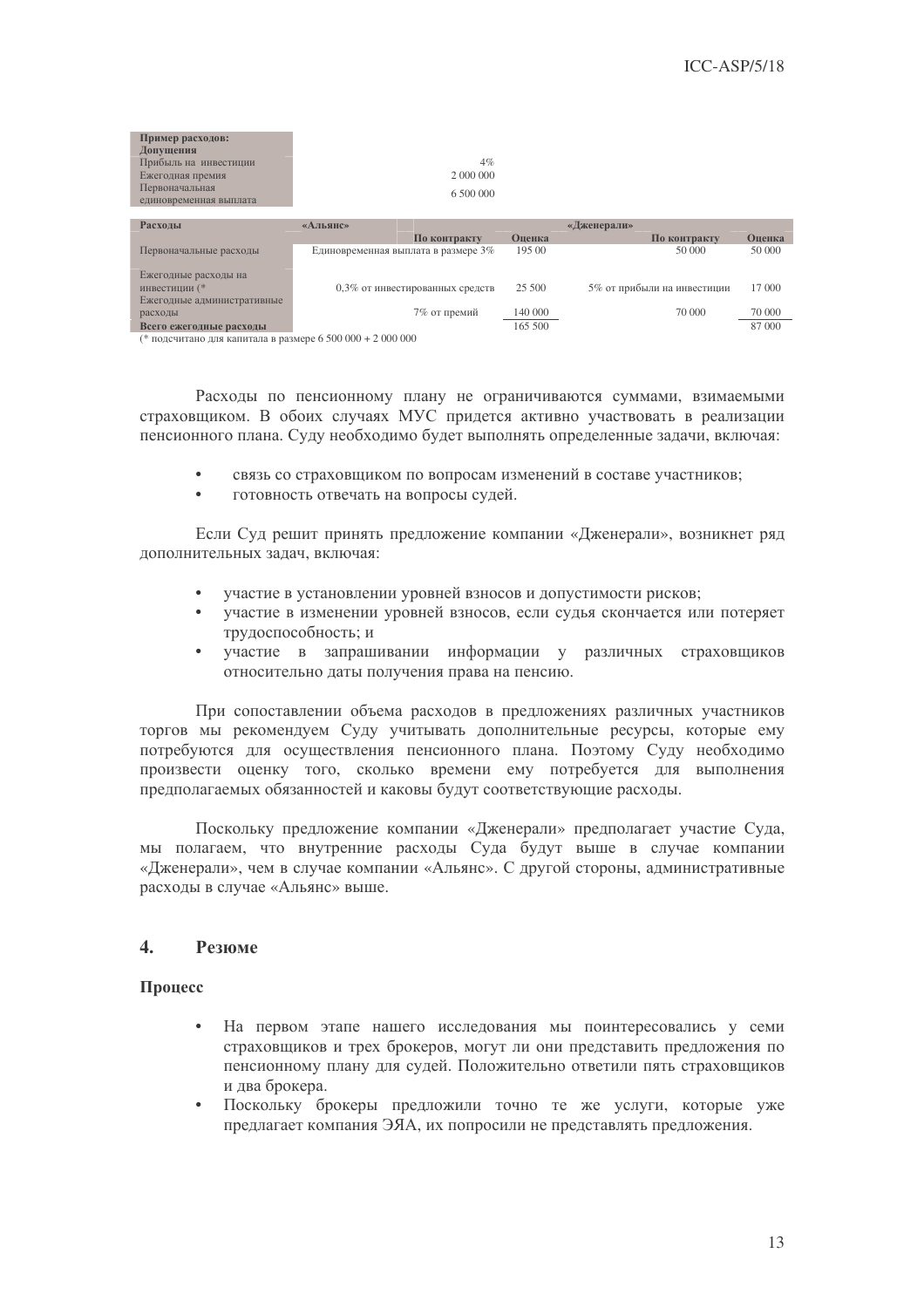| Пример расходов:<br>Допущения<br>Прибыль на инвестиции<br>Ежегодная премия<br>Первоначальная<br>единовременная выплата | $4\%$<br>2 000 000<br>6 500 000     |         |                             |        |
|------------------------------------------------------------------------------------------------------------------------|-------------------------------------|---------|-----------------------------|--------|
| Расхолы                                                                                                                | «Альянс»                            |         | «Дженерали»                 |        |
|                                                                                                                        | По контракту                        | Оценка  | По контракту                | Оценка |
| Первоначальные расходы                                                                                                 | Единовременная выплата в размере 3% | 195 00  | 50 000                      | 50 000 |
| Ежегодные расходы на<br>инвестиции (*<br>Ежегодные административные                                                    | 0,3% от инвестированных средств     | 25 500  | 5% от прибыли на инвестиции | 17 000 |
| расходы                                                                                                                | 7% от премий                        | 140 000 | 70 000                      | 70 000 |
| Всего ежегодные расходы                                                                                                |                                     | 165 500 |                             | 87 000 |
| (* подсчитано для капитала в размере 6 500 000 + 2 000 000                                                             |                                     |         |                             |        |

Расходы по пенсионному плану не ограничиваются суммами, взимаемыми страховщиком. В обоих случаях МУС придется активно участвовать в реализации пенсионного плана. Суду необходимо будет выполнять определенные задачи, включая:

- связь со страховщиком по вопросам изменений в составе участников;
- готовность отвечать на вопросы судей.

Если Суд решит принять предложение компании «Дженерали», возникнет ряд дополнительных задач, включая:

- участие в установлении уровней взносов и допустимости рисков;
- участие в изменении уровней взносов, если судья скончается или потеряет трудоспособность: и
- участие в запрашивании информации у различных страховщиков относительно даты получения права на пенсию.

При сопоставлении объема расходов в предложениях различных участников торгов мы рекомендуем Суду учитывать дополнительные ресурсы, которые ему потребуются для осуществления пенсионного плана. Поэтому Суду необходимо произвести оценку того, сколько времени ему потребуется для выполнения предполагаемых обязанностей и каковы будут соответствующие расходы.

Поскольку предложение компании «Дженерали» предполагает участие Суда, мы полагаем, что внутренние расходы Суда будут выше в случае компании «Дженерали», чем в случае компании «Альянс». С другой стороны, административные расходы в случае «Альянс» выше.

#### $\blacktriangle$ . Резиме

### Процесс

- На первом этапе нашего исследования мы поинтересовались у семи страховщиков и трех брокеров, могут ли они представить предложения по пенсионному плану для судей. Положительно ответили пять страховщиков и два брокера.
- Поскольку брокеры предложили точно те же услуги, которые уже предлагает компания ЭЯА, их попросили не представлять предложения.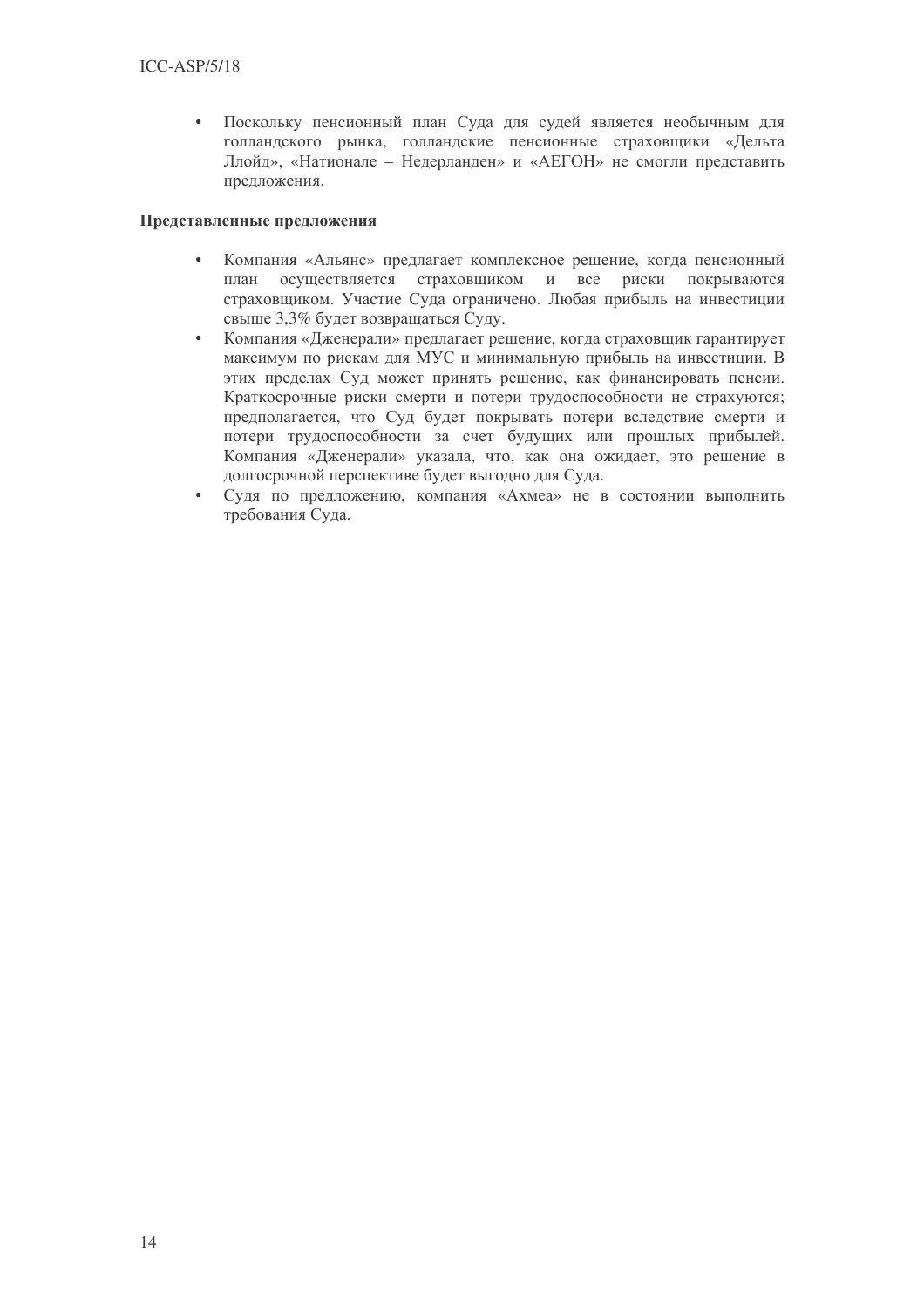Поскольку пенсионный план Суда для судей является необычным для голландского рынка, голландские пенсионные страховщики «Дельта Ллойд», «Натионале - Недерланден» и «АЕГОН» не смогли представить предложения.

### Представленные предложения

- Компания «Альянс» предлагает комплексное решение, когда пенсионный план осуществляется страховщиком и все риски покрываются страховщиком. Участие Суда ограничено. Любая прибыль на инвестиции свыше 3,3% будет возвращаться Суду.
- Компания «Дженерали» предлагает решение, когда страховщик гарантирует максимум по рискам для МУС и минимальную прибыль на инвестиции. В этих пределах Суд может принять решение, как финансировать пенсии. Краткосрочные риски смерти и потери трудоспособности не страхуются; предполагается, что Суд будет покрывать потери вследствие смерти и потери трудоспособности за счет будущих или прошлых прибылей. Компания «Дженерали» указала, что, как она ожидает, это решение в долгосрочной перспективе будет выгодно для Суда.
- Судя по предложению, компания «Ахмеа» не в состоянии выполнить требования Суда.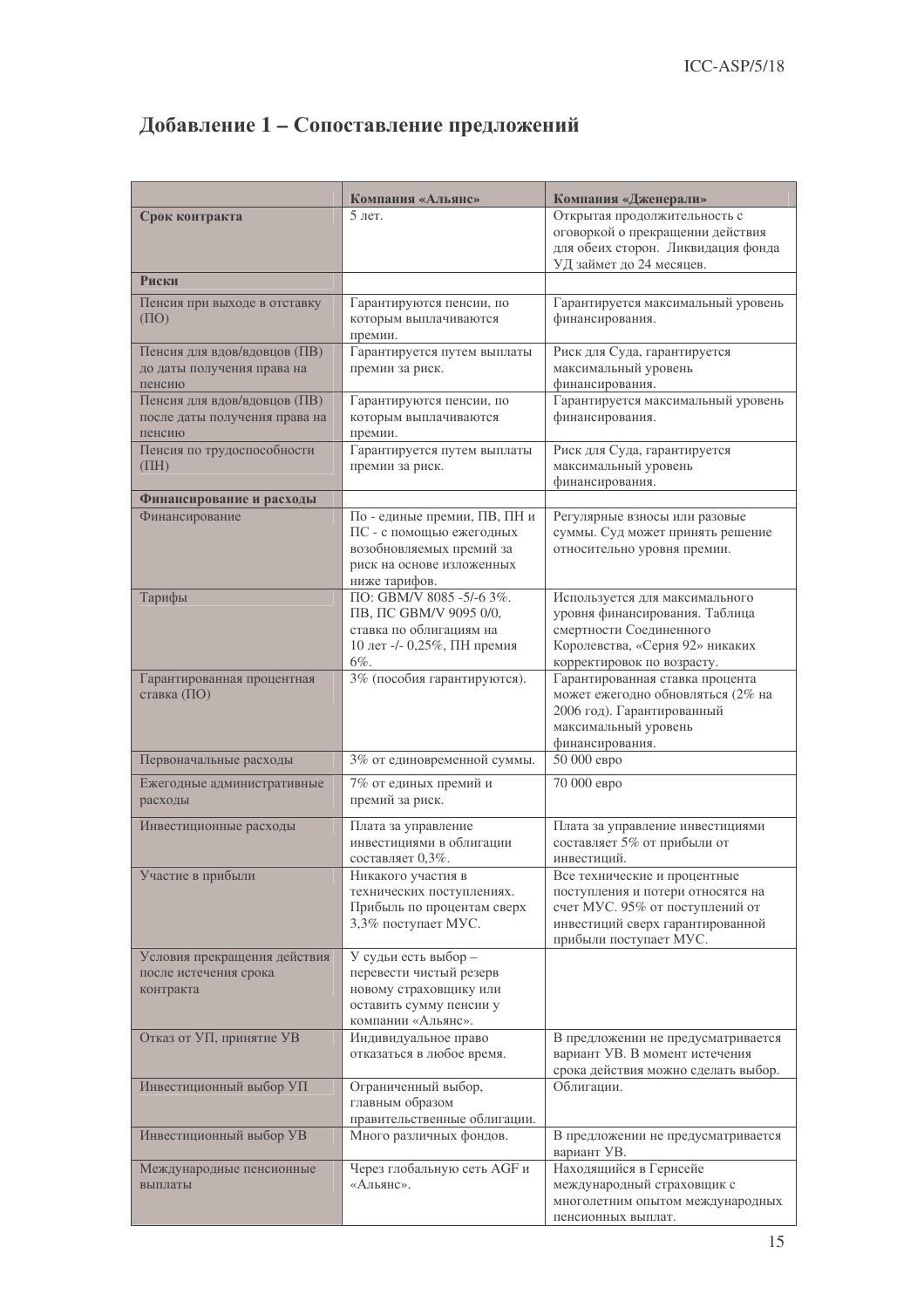# Добавление 1 - Сопоставление предложений

|                                                                         | Компания «Альянс»                                                                                                                  | Компания «Дженерали»                                                                                                                                               |
|-------------------------------------------------------------------------|------------------------------------------------------------------------------------------------------------------------------------|--------------------------------------------------------------------------------------------------------------------------------------------------------------------|
| Срок контракта                                                          | 5 лет.                                                                                                                             | Открытая продолжительность с<br>оговоркой о прекращении действия<br>для обеих сторон. Ликвидация фонда<br>УД займет до 24 месяцев.                                 |
| Риски                                                                   |                                                                                                                                    |                                                                                                                                                                    |
| Пенсия при выходе в отставку<br>$( \Pi O )$                             | Гарантируются пенсии, по<br>которым выплачиваются<br>премии.                                                                       | Гарантируется максимальный уровень<br>финансирования.                                                                                                              |
| Пенсия для вдов/вдовцов (ПВ)<br>до даты получения права на<br>пенсию    | Гарантируется путем выплаты<br>премии за риск.                                                                                     | Риск для Суда, гарантируется<br>максимальный уровень<br>финансирования.                                                                                            |
| Пенсия для вдов/вдовцов (ПВ)<br>после даты получения права на<br>пенсию | Гарантируются пенсии, по<br>которым выплачиваются<br>премии.                                                                       | Гарантируется максимальный уровень<br>финансирования.                                                                                                              |
| Пенсия по трудоспособности<br>(HH)                                      | Гарантируется путем выплаты<br>премии за риск.                                                                                     | Риск для Суда, гарантируется<br>максимальный уровень<br>финансирования.                                                                                            |
| Финансирование и расходы                                                |                                                                                                                                    |                                                                                                                                                                    |
| Финансирование                                                          | По - единые премии, ПВ, ПН и<br>ПС - с помощью ежегодных<br>возобновляемых премий за<br>риск на основе изложенных<br>ниже тарифов. | Регулярные взносы или разовые<br>суммы. Суд может принять решение<br>относительно уровня премии.                                                                   |
| Тарифы                                                                  | ПО: GBM/V 8085 -5/-6 3%.<br>ПВ, ПС GBM/V 9095 0/0,<br>ставка по облигациям на<br>10 лет -/- 0,25%, ПН премия<br>6%.                | Используется для максимального<br>уровня финансирования. Таблица<br>смертности Соединенного<br>Королевства, «Серия 92» никаких<br>корректировок по возрасту.       |
| Гарантированная процентная<br>ставка (ПО)                               | 3% (пособия гарантируются).                                                                                                        | Гарантированная ставка процента<br>может ежегодно обновляться (2% на<br>2006 год). Гарантированный<br>максимальный уровень<br>финансирования.                      |
| Первоначальные расходы                                                  | 3% от единовременной суммы.                                                                                                        | 50 000 евро                                                                                                                                                        |
| Ежегодные административные<br>расходы                                   | 7% от единых премий и<br>премий за риск.                                                                                           | 70 000 евро                                                                                                                                                        |
| Инвестиционные расходы                                                  | Плата за управление<br>инвестициями в облигации<br>составляет 0,3%.                                                                | Плата за управление инвестициями<br>составляет 5% от прибыли от<br>инвестиций.                                                                                     |
| Участие в прибыли                                                       | Никакого участия в<br>технических поступлениях.<br>Прибыль по процентам сверх<br>3,3% поступает МУС.                               | Все технические и процентные<br>поступления и потери относятся на<br>счет МУС. 95% от поступлений от<br>инвестиций сверх гарантированной<br>прибыли поступает МУС. |
| Условия прекращения действия<br>после истечения срока<br>контракта      | У судьи есть выбор -<br>перевести чистый резерв<br>новому страховщику или<br>оставить сумму пенсии у<br>компании «Альянс».         |                                                                                                                                                                    |
| Отказ от УП, принятие УВ                                                | Индивидуальное право<br>отказаться в любое время.                                                                                  | В предложении не предусматривается<br>вариант УВ. В момент истечения<br>срока действия можно сделать выбор.                                                        |
| Инвестиционный выбор УП                                                 | Ограниченный выбор,<br>главным образом<br>правительственные облигации.                                                             | Облигации.                                                                                                                                                         |
| Инвестиционный выбор УВ                                                 | Много различных фондов.                                                                                                            | В предложении не предусматривается<br>вариант УВ.                                                                                                                  |
| Международные пенсионные<br>выплаты                                     | Через глобальную сеть AGF и<br>«Альянс».                                                                                           | Находящийся в Гернсейе<br>международный страховщик с<br>многолетним опытом международных<br>пенсионных выплат.                                                     |